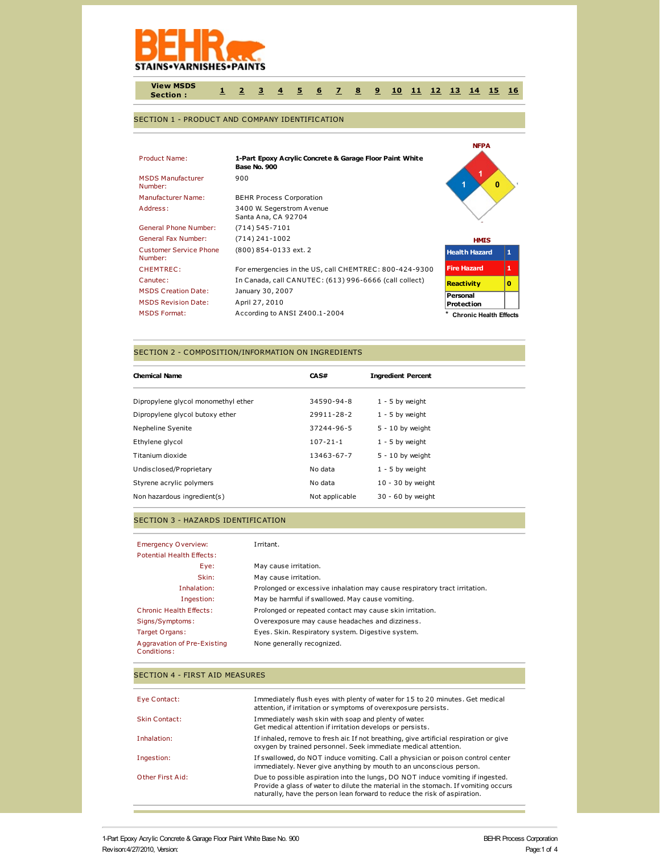

**View MSDS Section : [1](http://www.actiocms.com/view_msds/AuthorDisplay_V402/msdsdisplaycode_author_new_MASTER.cfm?edit_msds_id=5001&dbname=production&language=1&Hide_Section_Numbers=N&CFID=244089&CFTOKEN=fefc015b8e1ea6a5-03158C10-DFFD-E4E5-0F032E6AB1709D81#section1) [2](http://www.actiocms.com/view_msds/AuthorDisplay_V402/msdsdisplaycode_author_new_MASTER.cfm?edit_msds_id=5001&dbname=production&language=1&Hide_Section_Numbers=N&CFID=244089&CFTOKEN=fefc015b8e1ea6a5-03158C10-DFFD-E4E5-0F032E6AB1709D81#section2) [3](http://www.actiocms.com/view_msds/AuthorDisplay_V402/msdsdisplaycode_author_new_MASTER.cfm?edit_msds_id=5001&dbname=production&language=1&Hide_Section_Numbers=N&CFID=244089&CFTOKEN=fefc015b8e1ea6a5-03158C10-DFFD-E4E5-0F032E6AB1709D81#section3) [4](http://www.actiocms.com/view_msds/AuthorDisplay_V402/msdsdisplaycode_author_new_MASTER.cfm?edit_msds_id=5001&dbname=production&language=1&Hide_Section_Numbers=N&CFID=244089&CFTOKEN=fefc015b8e1ea6a5-03158C10-DFFD-E4E5-0F032E6AB1709D81#section4) [5](http://www.actiocms.com/view_msds/AuthorDisplay_V402/msdsdisplaycode_author_new_MASTER.cfm?edit_msds_id=5001&dbname=production&language=1&Hide_Section_Numbers=N&CFID=244089&CFTOKEN=fefc015b8e1ea6a5-03158C10-DFFD-E4E5-0F032E6AB1709D81#section5) [6](http://www.actiocms.com/view_msds/AuthorDisplay_V402/msdsdisplaycode_author_new_MASTER.cfm?edit_msds_id=5001&dbname=production&language=1&Hide_Section_Numbers=N&CFID=244089&CFTOKEN=fefc015b8e1ea6a5-03158C10-DFFD-E4E5-0F032E6AB1709D81#section6) [7](http://www.actiocms.com/view_msds/AuthorDisplay_V402/msdsdisplaycode_author_new_MASTER.cfm?edit_msds_id=5001&dbname=production&language=1&Hide_Section_Numbers=N&CFID=244089&CFTOKEN=fefc015b8e1ea6a5-03158C10-DFFD-E4E5-0F032E6AB1709D81#section7) [8](http://www.actiocms.com/view_msds/AuthorDisplay_V402/msdsdisplaycode_author_new_MASTER.cfm?edit_msds_id=5001&dbname=production&language=1&Hide_Section_Numbers=N&CFID=244089&CFTOKEN=fefc015b8e1ea6a5-03158C10-DFFD-E4E5-0F032E6AB1709D81#section8) [9](http://www.actiocms.com/view_msds/AuthorDisplay_V402/msdsdisplaycode_author_new_MASTER.cfm?edit_msds_id=5001&dbname=production&language=1&Hide_Section_Numbers=N&CFID=244089&CFTOKEN=fefc015b8e1ea6a5-03158C10-DFFD-E4E5-0F032E6AB1709D81#section9) [10](http://www.actiocms.com/view_msds/AuthorDisplay_V402/msdsdisplaycode_author_new_MASTER.cfm?edit_msds_id=5001&dbname=production&language=1&Hide_Section_Numbers=N&CFID=244089&CFTOKEN=fefc015b8e1ea6a5-03158C10-DFFD-E4E5-0F032E6AB1709D81#section10) [11](http://www.actiocms.com/view_msds/AuthorDisplay_V402/msdsdisplaycode_author_new_MASTER.cfm?edit_msds_id=5001&dbname=production&language=1&Hide_Section_Numbers=N&CFID=244089&CFTOKEN=fefc015b8e1ea6a5-03158C10-DFFD-E4E5-0F032E6AB1709D81#section11) [12](http://www.actiocms.com/view_msds/AuthorDisplay_V402/msdsdisplaycode_author_new_MASTER.cfm?edit_msds_id=5001&dbname=production&language=1&Hide_Section_Numbers=N&CFID=244089&CFTOKEN=fefc015b8e1ea6a5-03158C10-DFFD-E4E5-0F032E6AB1709D81#section12) [13](http://www.actiocms.com/view_msds/AuthorDisplay_V402/msdsdisplaycode_author_new_MASTER.cfm?edit_msds_id=5001&dbname=production&language=1&Hide_Section_Numbers=N&CFID=244089&CFTOKEN=fefc015b8e1ea6a5-03158C10-DFFD-E4E5-0F032E6AB1709D81#section13) [14](http://www.actiocms.com/view_msds/AuthorDisplay_V402/msdsdisplaycode_author_new_MASTER.cfm?edit_msds_id=5001&dbname=production&language=1&Hide_Section_Numbers=N&CFID=244089&CFTOKEN=fefc015b8e1ea6a5-03158C10-DFFD-E4E5-0F032E6AB1709D81#section14) [15](http://www.actiocms.com/view_msds/AuthorDisplay_V402/msdsdisplaycode_author_new_MASTER.cfm?edit_msds_id=5001&dbname=production&language=1&Hide_Section_Numbers=N&CFID=244089&CFTOKEN=fefc015b8e1ea6a5-03158C10-DFFD-E4E5-0F032E6AB1709D81#section15) [16](http://www.actiocms.com/view_msds/AuthorDisplay_V402/msdsdisplaycode_author_new_MASTER.cfm?edit_msds_id=5001&dbname=production&language=1&Hide_Section_Numbers=N&CFID=244089&CFTOKEN=fefc015b8e1ea6a5-03158C10-DFFD-E4E5-0F032E6AB1709D81#section16)**

**NFPA**

### SECTION 1 - PRODUCT AND COMPANY IDENTIFICATION

| Product Name:                            | 1-Part Epoxy Acrylic Concrete & Garage Floor Paint White<br>Base No. 900 |                               |   |
|------------------------------------------|--------------------------------------------------------------------------|-------------------------------|---|
| <b>MSDS Manufacturer</b><br>Number:      | 900                                                                      | $\bf{0}$                      |   |
| <b>Manufacturer Name:</b>                | <b>BEHR Process Corporation</b>                                          |                               |   |
| Address:                                 | 3400 W. Segerstrom Avenue<br>Santa Ana, CA 92704                         |                               |   |
| <b>General Phone Number:</b>             | $(714) 545 - 7101$                                                       |                               |   |
| <b>General Fax Number:</b>               | $(714)$ 241-1002                                                         | <b>HMIS</b>                   |   |
| <b>Customer Service Phone</b><br>Number: | (800) 854-0133 ext. 2                                                    | <b>Health Hazard</b>          | 1 |
| CHEMTREC:                                | For emergencies in the US, call CHEMTREC: 800-424-9300                   | <b>Fire Hazard</b>            | 1 |
| Canutec:                                 | In Canada, call CANUTEC: (613) 996-6666 (call collect)                   | <b>Reactivity</b>             | o |
| <b>MSDS Creation Date:</b>               | January 30, 2007                                                         |                               |   |
| <b>MSDS Revision Date:</b>               | April 27, 2010                                                           | Personal<br>Protection        |   |
| <b>MSDS Format:</b>                      | According to ANSI Z400.1-2004                                            | <b>Chronic Health Effects</b> |   |

#### SECTION 2 - COMPOSITION/INFORMATION ON INGREDIENTS

| <b>Chemical Name</b>                | CAS#           | <b>Ingredient Percent</b> |
|-------------------------------------|----------------|---------------------------|
| Dipropylene glycol monomethyl ether | 34590-94-8     | $1 - 5$ by weight         |
| Dipropylene glycol butoxy ether     | 29911-28-2     | $1 - 5$ by weight         |
| Nepheline Syenite                   | 37244-96-5     | $5 - 10$ by weight        |
| Ethylene glycol                     | $107 - 21 - 1$ | $1 - 5$ by weight         |
| Titanium dioxide                    | 13463-67-7     | $5 - 10$ by weight        |
| Undisclosed/Proprietary             | No data        | $1 - 5$ by weight         |
| Styrene acrylic polymers            | No data        | $10 - 30$ by weight       |
| Non hazardous ingredient(s)         | Not applicable | 30 - 60 by weight         |

#### SECTION 3 - HAZARDS IDENTIFICATION

| <b>Emergency Overview:</b><br><b>Potential Health Effects:</b> | Irritant.                                                                 |
|----------------------------------------------------------------|---------------------------------------------------------------------------|
| Eye:                                                           | May cause irritation.                                                     |
| Skin:                                                          | May cause irritation.                                                     |
| Inhalation:                                                    | Prolonged or excessive inhalation may cause respiratory tract irritation. |
| Ingestion:                                                     | May be harmful if swallowed. May cause vomiting.                          |
| Chronic Health Effects:                                        | Prolonged or repeated contact may cause skin irritation.                  |
| Signs/Symptoms:                                                | Overexposure may cause headaches and dizziness.                           |
| Target Organs:                                                 | Eyes. Skin. Respiratory system. Digestive system.                         |
| Aggravation of Pre-Existing<br>Conditions:                     | None generally recognized.                                                |

#### SECTION 4 - FIRST AID MEASURES

| Eye Contact:         | Immediately flush eyes with plenty of water for 15 to 20 minutes. Get medical<br>attention, if irritation or symptoms of overexposure persists.                                                                                                   |
|----------------------|---------------------------------------------------------------------------------------------------------------------------------------------------------------------------------------------------------------------------------------------------|
| <b>Skin Contact:</b> | Immediately wash skin with soap and plenty of water.<br>Get medical attention if irritation develops or persists.                                                                                                                                 |
| Inhalation:          | If inhaled, remove to fresh air. If not breathing, give artificial respiration or give<br>oxygen by trained personnel. Seek immediate medical attention.                                                                                          |
| Ingestion:           | If swallowed, do NOT induce vomiting. Call a physician or poison control center<br>immediately. Never give anything by mouth to an unconscious person.                                                                                            |
| Other First Aid:     | Due to possible aspiration into the lungs, DO NOT induce vomiting if ingested.<br>Provide a glass of water to dilute the material in the stomach. If vomiting occurs<br>naturally, have the person lean forward to reduce the risk of aspiration. |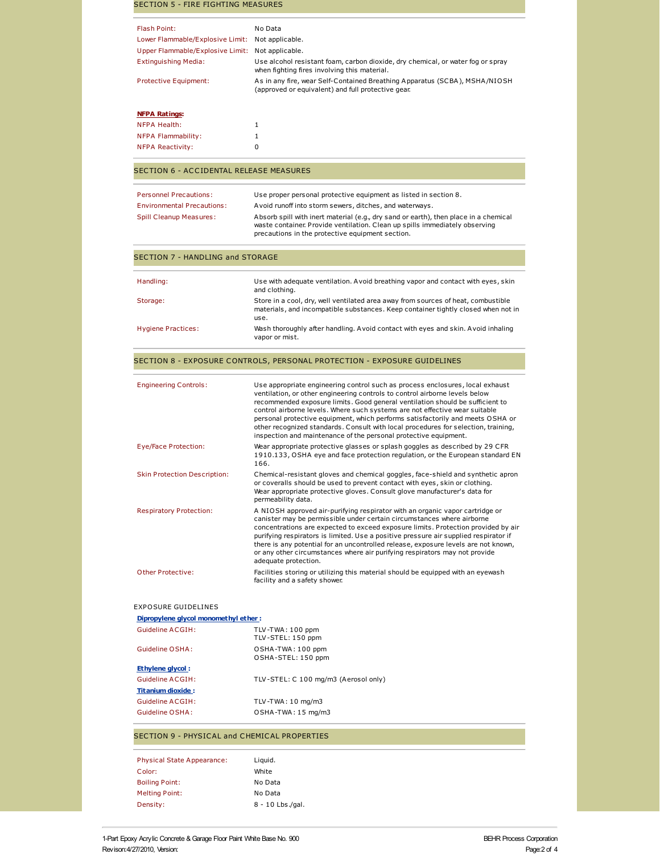| <b>SECTION 5 - FIRE FIGHTING MEASURES</b>                |                                                                                                                                                                                                                                                                                                                                                                                                                                                                                                                                 |
|----------------------------------------------------------|---------------------------------------------------------------------------------------------------------------------------------------------------------------------------------------------------------------------------------------------------------------------------------------------------------------------------------------------------------------------------------------------------------------------------------------------------------------------------------------------------------------------------------|
| <b>Flash Point:</b>                                      | No Data                                                                                                                                                                                                                                                                                                                                                                                                                                                                                                                         |
| Lower Flammable/Explosive Limit:                         | Not applicable.                                                                                                                                                                                                                                                                                                                                                                                                                                                                                                                 |
| Upper Flammable/Explosive Limit:                         | Not applicable.                                                                                                                                                                                                                                                                                                                                                                                                                                                                                                                 |
| <b>Extinguishing Media:</b>                              | Use alcohol resistant foam, carbon dioxide, dry chemical, or water fog or spray                                                                                                                                                                                                                                                                                                                                                                                                                                                 |
|                                                          | when fighting fires involving this material.                                                                                                                                                                                                                                                                                                                                                                                                                                                                                    |
| Protective Equipment:                                    | As in any fire, wear Self-Contained Breathing Apparatus (SCBA), MSHA/NIOSH<br>(approved or equivalent) and full protective gear.                                                                                                                                                                                                                                                                                                                                                                                                |
| <b>NFPA Ratings:</b>                                     |                                                                                                                                                                                                                                                                                                                                                                                                                                                                                                                                 |
| <b>NFPA Health:</b>                                      | 1                                                                                                                                                                                                                                                                                                                                                                                                                                                                                                                               |
| <b>NFPA Flammability:</b>                                | 1                                                                                                                                                                                                                                                                                                                                                                                                                                                                                                                               |
| <b>NFPA Reactivity:</b>                                  | 0                                                                                                                                                                                                                                                                                                                                                                                                                                                                                                                               |
| <b>SECTION 6 - ACCIDENTAL RELEASE MEASURES</b>           |                                                                                                                                                                                                                                                                                                                                                                                                                                                                                                                                 |
| <b>Personnel Precautions:</b>                            | Use proper personal protective equipment as listed in section 8.                                                                                                                                                                                                                                                                                                                                                                                                                                                                |
| <b>Environmental Precautions:</b>                        | Avoid runoff into storm sewers, ditches, and waterways.                                                                                                                                                                                                                                                                                                                                                                                                                                                                         |
| <b>Spill Cleanup Measures:</b>                           | Absorb spill with inert material (e.g., dry sand or earth), then place in a chemical<br>waste container. Provide ventilation. Clean up spills immediately observing<br>precautions in the protective equipment section.                                                                                                                                                                                                                                                                                                         |
| <b>SECTION 7 - HANDLING and STORAGE</b>                  |                                                                                                                                                                                                                                                                                                                                                                                                                                                                                                                                 |
|                                                          |                                                                                                                                                                                                                                                                                                                                                                                                                                                                                                                                 |
| Handling:                                                | Use with adequate ventilation. A void breathing vapor and contact with eyes, skin<br>and clothing.                                                                                                                                                                                                                                                                                                                                                                                                                              |
| Storage:                                                 | Store in a cool, dry, well ventilated area away from sources of heat, combustible<br>materials, and incompatible substances. Keep container tightly closed when not in<br>use.                                                                                                                                                                                                                                                                                                                                                  |
| <b>Hygiene Practices:</b>                                | Wash thoroughly after handling. A void contact with eyes and skin. A void inhaling<br>vapor or mist.                                                                                                                                                                                                                                                                                                                                                                                                                            |
|                                                          | SECTION 8 - EXPOSURE CONTROLS, PERSONAL PROTECTION - EXPOSURE GUIDELINES                                                                                                                                                                                                                                                                                                                                                                                                                                                        |
| <b>Engineering Controls:</b>                             | Use appropriate engineering control such as process enclosures, local exhaust                                                                                                                                                                                                                                                                                                                                                                                                                                                   |
|                                                          | ventilation, or other engineering controls to control airborne levels below<br>recommended exposure limits. Good general ventilation should be sufficient to<br>control airborne levels. Where such systems are not effective wear suitable<br>personal protective equipment, which performs satisfactorily and meets OSHA or<br>other recognized standards. Consult with local procedures for selection, training,<br>inspection and maintenance of the personal protective equipment.                                         |
| Eye/Face Protection:                                     | Wear appropriate protective glasses or splash goggles as described by 29 CFR<br>1910.133, OSHA eye and face protection regulation, or the European standard EN<br>166.                                                                                                                                                                                                                                                                                                                                                          |
| <b>Skin Protection Description:</b>                      | Chemical-resistant gloves and chemical goggles, face-shield and synthetic apron<br>or coveralls should be used to prevent contact with eyes, skin or clothing.<br>Wear appropriate protective gloves. Consult glove manufacturer's data for<br>permeability data.                                                                                                                                                                                                                                                               |
| <b>Respiratory Protection:</b>                           | A NIOSH approved air-purifying respirator with an organic vapor cartridge or<br>canister may be permissible under certain circumstances where airborne<br>concentrations are expected to exceed exposure limits. Protection provided by air<br>purifying respirators is limited. Use a positive pressure air supplied respirator if<br>there is any potential for an uncontrolled release, exposure levels are not known,<br>or any other circumstances where air purifying respirators may not provide<br>adequate protection. |
| Other Protective:                                        | Facilities storing or utilizing this material should be equipped with an eyewash<br>facility and a safety shower.                                                                                                                                                                                                                                                                                                                                                                                                               |
| <b>EXPOSURE GUIDELINES</b>                               |                                                                                                                                                                                                                                                                                                                                                                                                                                                                                                                                 |
| Dipropylene glycol monomethyl ether:<br>Guideline ACGIH: | TLV-TWA: 100 ppm                                                                                                                                                                                                                                                                                                                                                                                                                                                                                                                |
|                                                          | TLV-STEL: 150 ppm                                                                                                                                                                                                                                                                                                                                                                                                                                                                                                               |
| Guideline OSHA:                                          | OSHA-TWA: 100 ppm<br>OSHA-STEL: 150 ppm                                                                                                                                                                                                                                                                                                                                                                                                                                                                                         |
| Ethylene glycol:                                         |                                                                                                                                                                                                                                                                                                                                                                                                                                                                                                                                 |
| Guideline ACGIH:                                         | TLV-STEL: C 100 mg/m3 (Aerosol only)                                                                                                                                                                                                                                                                                                                                                                                                                                                                                            |
| <b>Titanium dioxide:</b>                                 |                                                                                                                                                                                                                                                                                                                                                                                                                                                                                                                                 |
| Guideline ACGIH:<br>Guideline OSHA:                      | TLV-TWA: 10 mg/m3<br>OSHA-TWA: 15 mg/m3                                                                                                                                                                                                                                                                                                                                                                                                                                                                                         |
| SECTION 9 - PHYSICAL and CHEMICAL PROPERTIES             |                                                                                                                                                                                                                                                                                                                                                                                                                                                                                                                                 |
|                                                          |                                                                                                                                                                                                                                                                                                                                                                                                                                                                                                                                 |
| <b>Physical State Appearance:</b>                        | Liquid.                                                                                                                                                                                                                                                                                                                                                                                                                                                                                                                         |
| Color:                                                   | White                                                                                                                                                                                                                                                                                                                                                                                                                                                                                                                           |
| <b>Boiling Point:</b>                                    | No Data                                                                                                                                                                                                                                                                                                                                                                                                                                                                                                                         |
| <b>Melting Point:</b><br>Density:                        | No Data<br>8 - 10 Lbs./gal.                                                                                                                                                                                                                                                                                                                                                                                                                                                                                                     |
|                                                          |                                                                                                                                                                                                                                                                                                                                                                                                                                                                                                                                 |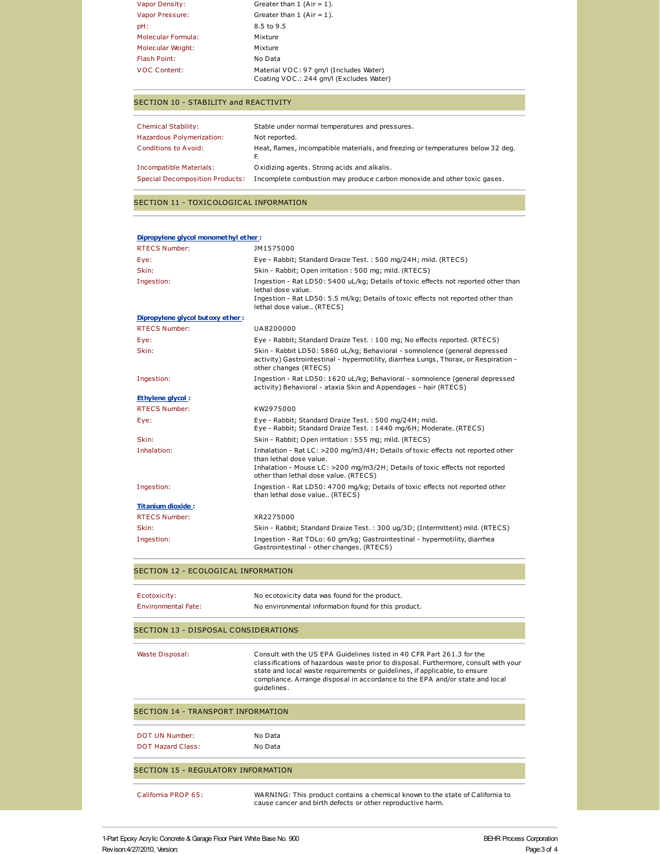| <b>Vapor Density:</b> | Greater than $1$ (Air = 1).                                                       |
|-----------------------|-----------------------------------------------------------------------------------|
| Vapor Pressure:       | Greater than $1$ (Air = 1).                                                       |
| pH:                   | 8.5 to 9.5                                                                        |
| Molecular Formula:    | Mixture                                                                           |
| Molecular Weight:     | Mixture                                                                           |
| <b>Flash Point:</b>   | No Data                                                                           |
| <b>VOC Content:</b>   | Material VOC: 97 gm/l (Includes Water)<br>Coating VOC.: 244 gm/l (Excludes Water) |

### SECTION 10 - STABILITY and REACTIVITY

| <b>Chemical Stability:</b>             | Stable under normal temperatures and pressures.                                  |
|----------------------------------------|----------------------------------------------------------------------------------|
| Hazardous Polymerization:              | Not reported.                                                                    |
| <b>Conditions to Avoid:</b>            | Heat, flames, incompatible materials, and freezing or temperatures below 32 deg. |
| Incompatible Materials:                | Oxidizing agents. Strong acids and alkalis.                                      |
| <b>Special Decomposition Products:</b> | Incomplete combustion may produce carbon monoxide and other toxic gases.         |

#### SECTION 11 - TOXICOLOGICAL INFORMATION

| Dipropylene glycol monomethyl ether: |                                                                                                                                                                                                                                    |
|--------------------------------------|------------------------------------------------------------------------------------------------------------------------------------------------------------------------------------------------------------------------------------|
| <b>RTECS Number:</b>                 | JM1575000                                                                                                                                                                                                                          |
| Eye:                                 | Eye - Rabbit; Standard Draize Test.: 500 mg/24H; mild. (RTECS)                                                                                                                                                                     |
| Skin:                                | Skin - Rabbit; Open irritation : 500 mg; mild. (RTECS)                                                                                                                                                                             |
| Ingestion:                           | Ingestion - Rat LD50: 5400 uL/kg; Details of toxic effects not reported other than<br>lethal dose value.<br>Ingestion - Rat LD50: 5.5 ml/kg; Details of toxic effects not reported other than<br>lethal dose value (RTECS)         |
| Dipropylene glycol butoxy ether:     |                                                                                                                                                                                                                                    |
| <b>RTECS Number:</b>                 | UA8200000                                                                                                                                                                                                                          |
| Eye:                                 | Eye - Rabbit; Standard Draize Test.: 100 mg; No effects reported. (RTECS)                                                                                                                                                          |
| Skin:                                | Skin - Rabbit LD50: 5860 uL/kg; Behavioral - somnolence (general depressed<br>activity) Gastrointestinal - hypermotility, diarrhea Lungs, Thorax, or Respiration -<br>other changes (RTECS)                                        |
| Ingestion:                           | Ingestion - Rat LD50: 1620 uL/kg; Behavioral - somnolence (general depressed<br>activity) Behavioral - ataxia Skin and Appendages - hair (RTECS)                                                                                   |
| <b>Ethylene glycol:</b>              |                                                                                                                                                                                                                                    |
| <b>RTECS Number:</b>                 | KW2975000                                                                                                                                                                                                                          |
| Eye:                                 | Eye - Rabbit; Standard Draize Test.: 500 mg/24H; mild.<br>Eye - Rabbit; Standard Draize Test. : 1440 mg/6H; Moderate. (RTECS)                                                                                                      |
| Skin:                                | Skin - Rabbit; Open irritation: 555 mg; mild. (RTECS)                                                                                                                                                                              |
| Inhalation:                          | Inhalation - Rat LC: >200 mg/m3/4H; Details of toxic effects not reported other<br>than lethal dose value.<br>Inhalation - Mouse LC: >200 mg/m3/2H; Details of toxic effects not reported<br>other than lethal dose value. (RTECS) |
| Ingestion:                           | Ingestion - Rat LD50: 4700 mg/kg; Details of toxic effects not reported other<br>than lethal dose value (RTECS)                                                                                                                    |
| <b>Titanium dioxide:</b>             |                                                                                                                                                                                                                                    |
| <b>RTECS Number:</b>                 | XR2275000                                                                                                                                                                                                                          |
| Skin:                                | Skin - Rabbit; Standard Draize Test.: 300 ug/3D; (Intermittent) mild. (RTECS)                                                                                                                                                      |
| Ingestion:                           | Ingestion - Rat TDLo: 60 gm/kg; Gastrointestinal - hypermotility, diarrhea<br>Gastrointestinal - other changes. (RTECS)                                                                                                            |
| CECTION 13 ECOLOGICAL INFORMATION    |                                                                                                                                                                                                                                    |

### SECTION 12 - ECOLOGICAL INFORMATION

| Ecotoxicity:        | No ecotoxicity data was found for the product.       |
|---------------------|------------------------------------------------------|
| Environmental Fate: | No environmental information found for this product. |

## SECTION 13 - DISPOSAL CONSIDERATIONS

| Waste Disposal: | Consult with the US EPA Guidelines listed in 40 CFR Part 261.3 for the<br>classifications of hazardous waste prior to disposal. Furthermore, consult with your<br>state and local waste requirements or quidelines, if applicable, to ensure<br>compliance. Arrange disposal in accordance to the EPA and/or state and local<br>quidelines. |
|-----------------|---------------------------------------------------------------------------------------------------------------------------------------------------------------------------------------------------------------------------------------------------------------------------------------------------------------------------------------------|
|                 |                                                                                                                                                                                                                                                                                                                                             |

| SECTION 14 - TRANSPORT INFORMATION  |                                                                                                                                             |  |
|-------------------------------------|---------------------------------------------------------------------------------------------------------------------------------------------|--|
| DOT UN Number:                      | No Data                                                                                                                                     |  |
| <b>DOT Hazard Class:</b>            | No Data                                                                                                                                     |  |
| SECTION 15 - REGULATORY INFORMATION |                                                                                                                                             |  |
| California PROP 65:                 | WARNING: This product contains a chemical known to the state of California to<br>cause cancer and birth defects or other reproductive harm. |  |